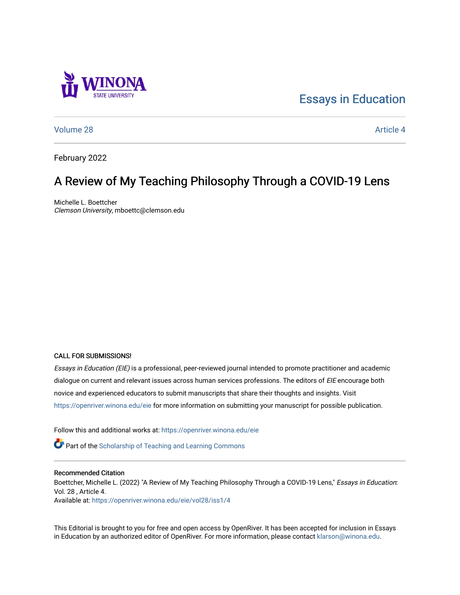# [Essays in Education](https://openriver.winona.edu/eie)

[Volume 28](https://openriver.winona.edu/eie/vol28) Article 4

February 2022

# A Review of My Teaching Philosophy Through a COVID-19 Lens

Michelle L. Boettcher Clemson University, mboettc@clemson.edu

#### CALL FOR SUBMISSIONS!

Essays in Education (EIE) is a professional, peer-reviewed journal intended to promote practitioner and academic dialogue on current and relevant issues across human services professions. The editors of EIE encourage both novice and experienced educators to submit manuscripts that share their thoughts and insights. Visit <https://openriver.winona.edu/eie> for more information on submitting your manuscript for possible publication.

Follow this and additional works at: [https://openriver.winona.edu/eie](https://openriver.winona.edu/eie?utm_source=openriver.winona.edu%2Feie%2Fvol28%2Fiss1%2F4&utm_medium=PDF&utm_campaign=PDFCoverPages) 

**Part of the [Scholarship of Teaching and Learning Commons](http://network.bepress.com/hgg/discipline/1328?utm_source=openriver.winona.edu%2Feie%2Fvol28%2Fiss1%2F4&utm_medium=PDF&utm_campaign=PDFCoverPages)** 

#### Recommended Citation

Boettcher, Michelle L. (2022) "A Review of My Teaching Philosophy Through a COVID-19 Lens," Essays in Education: Vol. 28 , Article 4.

Available at: [https://openriver.winona.edu/eie/vol28/iss1/4](https://openriver.winona.edu/eie/vol28/iss1/4?utm_source=openriver.winona.edu%2Feie%2Fvol28%2Fiss1%2F4&utm_medium=PDF&utm_campaign=PDFCoverPages) 

This Editorial is brought to you for free and open access by OpenRiver. It has been accepted for inclusion in Essays in Education by an authorized editor of OpenRiver. For more information, please contact [klarson@winona.edu.](mailto:klarson@winona.edu)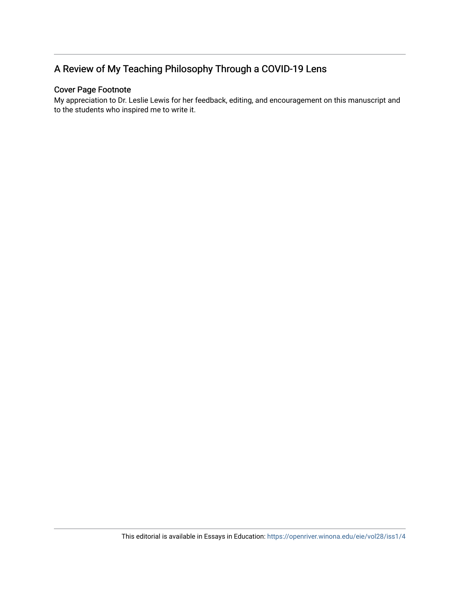## A Review of My Teaching Philosophy Through a COVID-19 Lens

## Cover Page Footnote

My appreciation to Dr. Leslie Lewis for her feedback, editing, and encouragement on this manuscript and to the students who inspired me to write it.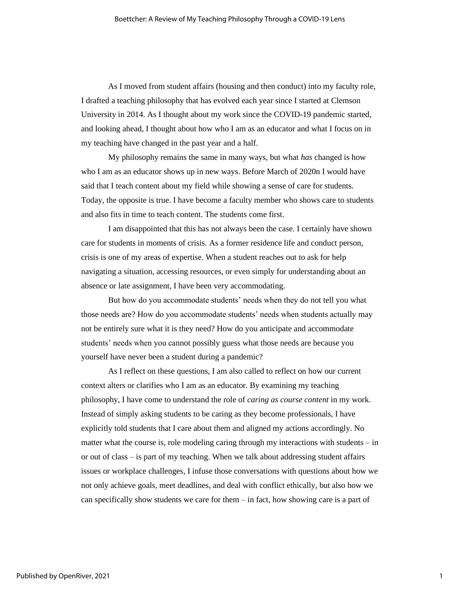As I moved from student affairs (housing and then conduct) into my faculty role, I drafted a teaching philosophy that has evolved each year since I started at Clemson University in 2014. As I thought about my work since the COVID-19 pandemic started, and looking ahead, I thought about how who I am as an educator and what I focus on in my teaching have changed in the past year and a half.

My philosophy remains the same in many ways, but what *has* changed is how who I am as an educator shows up in new ways. Before March of 2020n I would have said that I teach content about my field while showing a sense of care for students. Today, the opposite is true. I have become a faculty member who shows care to students and also fits in time to teach content. The students come first.

I am disappointed that this has not always been the case. I certainly have shown care for students in moments of crisis. As a former residence life and conduct person, crisis is one of my areas of expertise. When a student reaches out to ask for help navigating a situation, accessing resources, or even simply for understanding about an absence or late assignment, I have been very accommodating.

But how do you accommodate students' needs when they do not tell you what those needs are? How do you accommodate students' needs when students actually may not be entirely sure what it is they need? How do you anticipate and accommodate students' needs when you cannot possibly guess what those needs are because you yourself have never been a student during a pandemic?

As I reflect on these questions, I am also called to reflect on how our current context alters or clarifies who I am as an educator. By examining my teaching philosophy, I have come to understand the role of *caring as course content* in my work. Instead of simply asking students to be caring as they become professionals, I have explicitly told students that I care about them and aligned my actions accordingly. No matter what the course is, role modeling caring through my interactions with students – in or out of class – is part of my teaching. When we talk about addressing student affairs issues or workplace challenges, I infuse those conversations with questions about how we not only achieve goals, meet deadlines, and deal with conflict ethically, but also how we can specifically show students we care for them – in fact, how showing care is a part of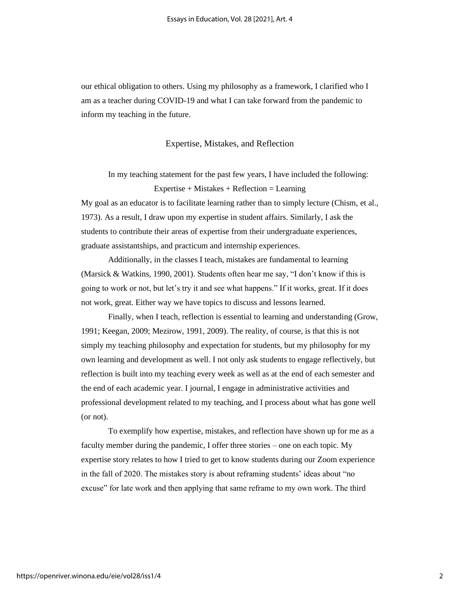our ethical obligation to others. Using my philosophy as a framework, I clarified who I am as a teacher during COVID-19 and what I can take forward from the pandemic to inform my teaching in the future.

#### Expertise, Mistakes, and Reflection

In my teaching statement for the past few years, I have included the following: Expertise + Mistakes + Reflection = Learning

My goal as an educator is to facilitate learning rather than to simply lecture (Chism, et al., 1973). As a result, I draw upon my expertise in student affairs. Similarly, I ask the students to contribute their areas of expertise from their undergraduate experiences, graduate assistantships, and practicum and internship experiences.

Additionally, in the classes I teach, mistakes are fundamental to learning (Marsick & Watkins, 1990, 2001). Students often hear me say, "I don't know if this is going to work or not, but let's try it and see what happens." If it works, great. If it does not work, great. Either way we have topics to discuss and lessons learned.

Finally, when I teach, reflection is essential to learning and understanding (Grow, 1991; Keegan, 2009; Mezirow, 1991, 2009). The reality, of course, is that this is not simply my teaching philosophy and expectation for students, but my philosophy for my own learning and development as well. I not only ask students to engage reflectively, but reflection is built into my teaching every week as well as at the end of each semester and the end of each academic year. I journal, I engage in administrative activities and professional development related to my teaching, and I process about what has gone well (or not).

To exemplify how expertise, mistakes, and reflection have shown up for me as a faculty member during the pandemic, I offer three stories – one on each topic. My expertise story relates to how I tried to get to know students during our Zoom experience in the fall of 2020. The mistakes story is about reframing students' ideas about "no excuse" for late work and then applying that same reframe to my own work. The third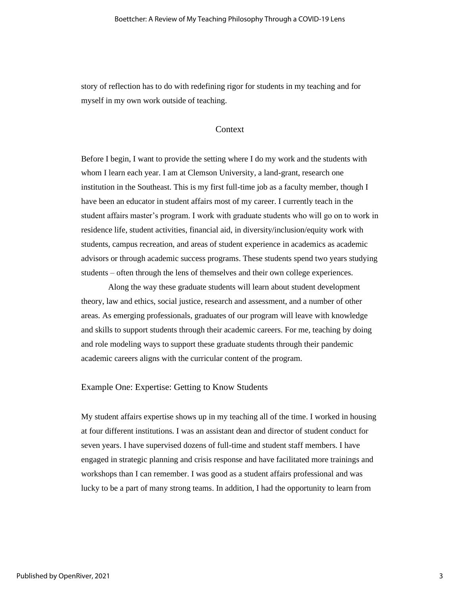story of reflection has to do with redefining rigor for students in my teaching and for myself in my own work outside of teaching.

### Context

Before I begin, I want to provide the setting where I do my work and the students with whom I learn each year. I am at Clemson University, a land-grant, research one institution in the Southeast. This is my first full-time job as a faculty member, though I have been an educator in student affairs most of my career. I currently teach in the student affairs master's program. I work with graduate students who will go on to work in residence life, student activities, financial aid, in diversity/inclusion/equity work with students, campus recreation, and areas of student experience in academics as academic advisors or through academic success programs. These students spend two years studying students – often through the lens of themselves and their own college experiences.

Along the way these graduate students will learn about student development theory, law and ethics, social justice, research and assessment, and a number of other areas. As emerging professionals, graduates of our program will leave with knowledge and skills to support students through their academic careers. For me, teaching by doing and role modeling ways to support these graduate students through their pandemic academic careers aligns with the curricular content of the program.

#### Example One: Expertise: Getting to Know Students

My student affairs expertise shows up in my teaching all of the time. I worked in housing at four different institutions. I was an assistant dean and director of student conduct for seven years. I have supervised dozens of full-time and student staff members. I have engaged in strategic planning and crisis response and have facilitated more trainings and workshops than I can remember. I was good as a student affairs professional and was lucky to be a part of many strong teams. In addition, I had the opportunity to learn from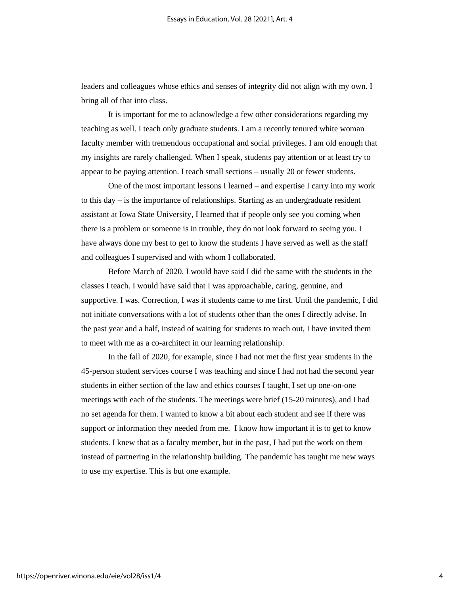leaders and colleagues whose ethics and senses of integrity did not align with my own. I bring all of that into class.

It is important for me to acknowledge a few other considerations regarding my teaching as well. I teach only graduate students. I am a recently tenured white woman faculty member with tremendous occupational and social privileges. I am old enough that my insights are rarely challenged. When I speak, students pay attention or at least try to appear to be paying attention. I teach small sections – usually 20 or fewer students.

One of the most important lessons I learned – and expertise I carry into my work to this day  $-$  is the importance of relationships. Starting as an undergraduate resident assistant at Iowa State University, I learned that if people only see you coming when there is a problem or someone is in trouble, they do not look forward to seeing you. I have always done my best to get to know the students I have served as well as the staff and colleagues I supervised and with whom I collaborated.

Before March of 2020, I would have said I did the same with the students in the classes I teach. I would have said that I was approachable, caring, genuine, and supportive. I was. Correction, I was if students came to me first. Until the pandemic, I did not initiate conversations with a lot of students other than the ones I directly advise. In the past year and a half, instead of waiting for students to reach out, I have invited them to meet with me as a co-architect in our learning relationship.

In the fall of 2020, for example, since I had not met the first year students in the 45-person student services course I was teaching and since I had not had the second year students in either section of the law and ethics courses I taught, I set up one-on-one meetings with each of the students. The meetings were brief (15-20 minutes), and I had no set agenda for them. I wanted to know a bit about each student and see if there was support or information they needed from me. I know how important it is to get to know students. I knew that as a faculty member, but in the past, I had put the work on them instead of partnering in the relationship building. The pandemic has taught me new ways to use my expertise. This is but one example.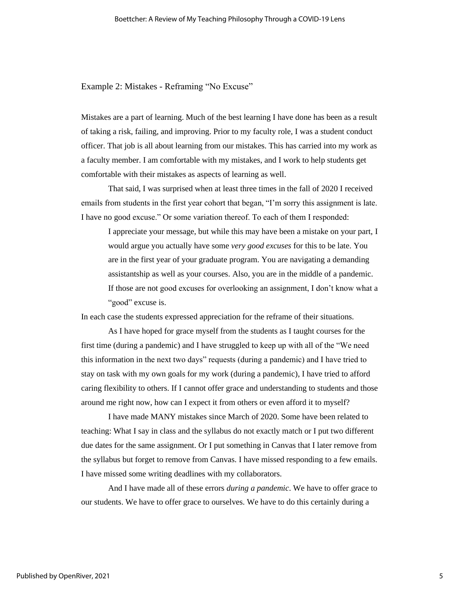Example 2: Mistakes - Reframing "No Excuse"

Mistakes are a part of learning. Much of the best learning I have done has been as a result of taking a risk, failing, and improving. Prior to my faculty role, I was a student conduct officer. That job is all about learning from our mistakes. This has carried into my work as a faculty member. I am comfortable with my mistakes, and I work to help students get comfortable with their mistakes as aspects of learning as well.

That said, I was surprised when at least three times in the fall of 2020 I received emails from students in the first year cohort that began, "I'm sorry this assignment is late. I have no good excuse." Or some variation thereof. To each of them I responded:

I appreciate your message, but while this may have been a mistake on your part, I would argue you actually have some *very good excuses* for this to be late. You are in the first year of your graduate program. You are navigating a demanding assistantship as well as your courses. Also, you are in the middle of a pandemic. If those are not good excuses for overlooking an assignment, I don't know what a "good" excuse is.

In each case the students expressed appreciation for the reframe of their situations.

As I have hoped for grace myself from the students as I taught courses for the first time (during a pandemic) and I have struggled to keep up with all of the "We need this information in the next two days" requests (during a pandemic) and I have tried to stay on task with my own goals for my work (during a pandemic), I have tried to afford caring flexibility to others. If I cannot offer grace and understanding to students and those around me right now, how can I expect it from others or even afford it to myself?

I have made MANY mistakes since March of 2020. Some have been related to teaching: What I say in class and the syllabus do not exactly match or I put two different due dates for the same assignment. Or I put something in Canvas that I later remove from the syllabus but forget to remove from Canvas. I have missed responding to a few emails. I have missed some writing deadlines with my collaborators.

And I have made all of these errors *during a pandemic*. We have to offer grace to our students. We have to offer grace to ourselves. We have to do this certainly during a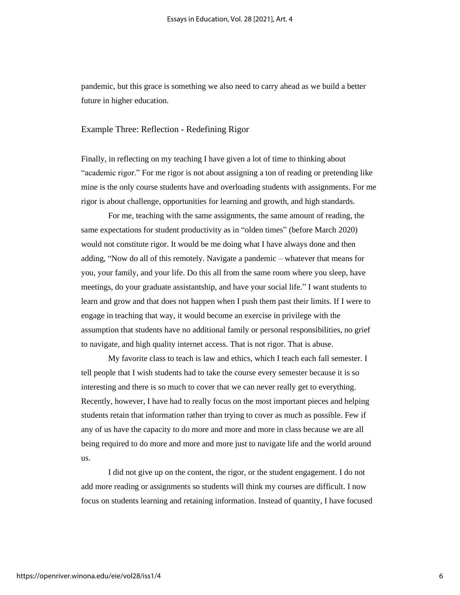pandemic, but this grace is something we also need to carry ahead as we build a better future in higher education.

### Example Three: Reflection - Redefining Rigor

Finally, in reflecting on my teaching I have given a lot of time to thinking about "academic rigor." For me rigor is not about assigning a ton of reading or pretending like mine is the only course students have and overloading students with assignments. For me rigor is about challenge, opportunities for learning and growth, and high standards.

For me, teaching with the same assignments, the same amount of reading, the same expectations for student productivity as in "olden times" (before March 2020) would not constitute rigor. It would be me doing what I have always done and then adding, "Now do all of this remotely. Navigate a pandemic – whatever that means for you, your family, and your life. Do this all from the same room where you sleep, have meetings, do your graduate assistantship, and have your social life." I want students to learn and grow and that does not happen when I push them past their limits. If I were to engage in teaching that way, it would become an exercise in privilege with the assumption that students have no additional family or personal responsibilities, no grief to navigate, and high quality internet access. That is not rigor. That is abuse.

My favorite class to teach is law and ethics, which I teach each fall semester. I tell people that I wish students had to take the course every semester because it is so interesting and there is so much to cover that we can never really get to everything. Recently, however, I have had to really focus on the most important pieces and helping students retain that information rather than trying to cover as much as possible. Few if any of us have the capacity to do more and more and more in class because we are all being required to do more and more and more just to navigate life and the world around us.

I did not give up on the content, the rigor, or the student engagement. I do not add more reading or assignments so students will think my courses are difficult. I now focus on students learning and retaining information. Instead of quantity, I have focused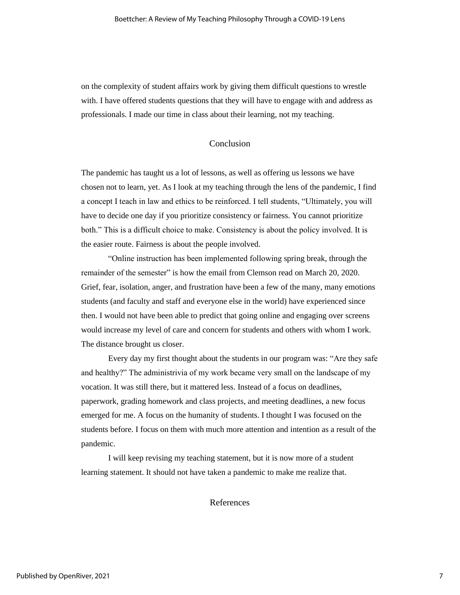on the complexity of student affairs work by giving them difficult questions to wrestle with. I have offered students questions that they will have to engage with and address as professionals. I made our time in class about their learning, not my teaching.

### Conclusion

The pandemic has taught us a lot of lessons, as well as offering us lessons we have chosen not to learn, yet. As I look at my teaching through the lens of the pandemic, I find a concept I teach in law and ethics to be reinforced. I tell students, "Ultimately, you will have to decide one day if you prioritize consistency or fairness. You cannot prioritize both." This is a difficult choice to make. Consistency is about the policy involved. It is the easier route. Fairness is about the people involved.

"Online instruction has been implemented following spring break, through the remainder of the semester" is how the email from Clemson read on March 20, 2020. Grief, fear, isolation, anger, and frustration have been a few of the many, many emotions students (and faculty and staff and everyone else in the world) have experienced since then. I would not have been able to predict that going online and engaging over screens would increase my level of care and concern for students and others with whom I work. The distance brought us closer.

Every day my first thought about the students in our program was: "Are they safe and healthy?" The administrivia of my work became very small on the landscape of my vocation. It was still there, but it mattered less. Instead of a focus on deadlines, paperwork, grading homework and class projects, and meeting deadlines, a new focus emerged for me. A focus on the humanity of students. I thought I was focused on the students before. I focus on them with much more attention and intention as a result of the pandemic.

I will keep revising my teaching statement, but it is now more of a student learning statement. It should not have taken a pandemic to make me realize that.

References